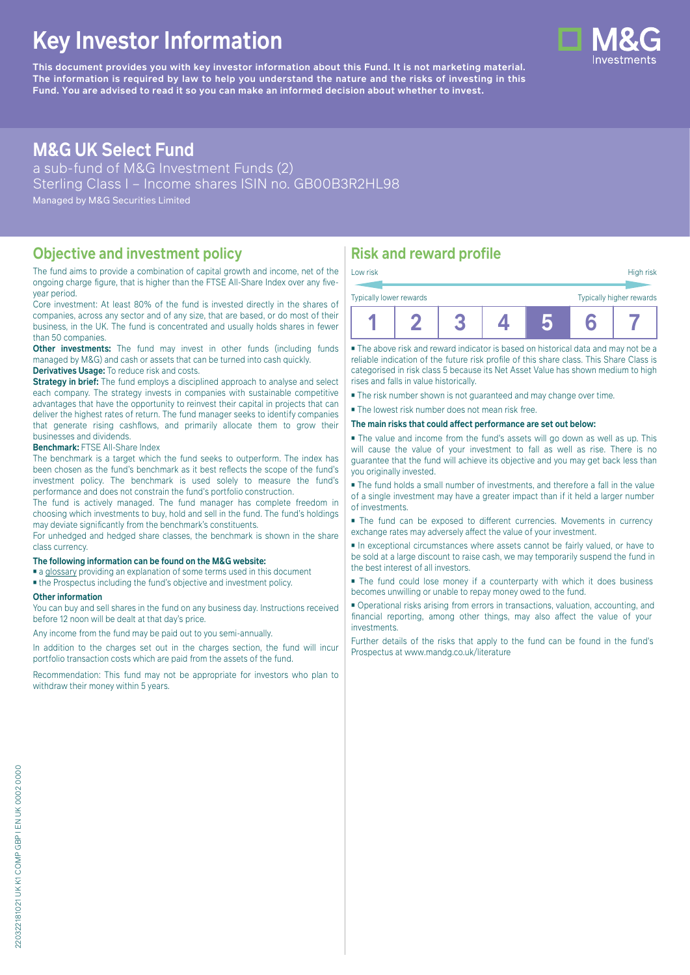# **Key Investor Information**

**This document provides you with key investor information about this Fund. It is not marketing material.** The information is required by law to help you understand the nature and the risks of investing in this **Fund. You are advised to read it so you can make an informed decision about whether to invest.**

## **M&G UK Select Fund**

a sub-fund of M&G Investment Funds (2) Sterling Class I – Income shares ISIN no. GB00B3R2HL98 Managed by M&G Securities Limited

## **Objective and investment policy**

The fund aims to provide a combination of capital growth and income, net of the ongoing charge figure, that is higher than the FTSE All-Share Index over any fiveyear period.

Core investment: At least 80% of the fund is invested directly in the shares of companies, across any sector and of any size, that are based, or do most of their business, in the UK. The fund is concentrated and usually holds shares in fewer than 50 companies.

**Other investments:** The fund may invest in other funds (including funds) managed by M&G) and cash or assets that can be turned into cash quickly.

### **Derivatives Usage:** To reduce risk and costs.

**Strategy in brief:** The fund employs a disciplined approach to analyse and select each company. The strategy invests in companies with sustainable competitive advantages that have the opportunity to reinvest their capital in projects that can deliver the highest rates of return. The fund manager seeks to identify companies that generate rising cashflows, and primarily allocate them to grow their businesses and dividends.

#### **Benchmark:** FTSE All-Share Index

The benchmark is a target which the fund seeks to outperform. The index has been chosen as the fund's benchmark as it best reflects the scope of the fund's investment policy. The benchmark is used solely to measure the fund's performance and does not constrain the fund's portfolio construction.

The fund is actively managed. The fund manager has complete freedom in choosing which investments to buy, hold and sell in the fund. The fund's holdings may deviate significantly from the benchmark's constituents.

For unhedged and hedged share classes, the benchmark is shown in the share class currency.

#### **The following information can be found on the M&G website:**

- [a glossary](https://docs.mandg.com/docs/glossary-master-en.pdf) providing an explanation of some terms used in this document
- the Prospectus including the fund's objective and investment policy.

#### **Other information**

You can buy and sell shares in the fund on any business day. Instructions received before 12 noon will be dealt at that day's price.

Any income from the fund may be paid out to you semi-annually.

In addition to the charges set out in the charges section, the fund will incur portfolio transaction costs which are paid from the assets of the fund.

Recommendation: This fund may not be appropriate for investors who plan to withdraw their money within 5 years.

## **Risk and reward profile**

| Low risk                |  |  |  |  | High risk                |
|-------------------------|--|--|--|--|--------------------------|
| Typically lower rewards |  |  |  |  | Typically higher rewards |
|                         |  |  |  |  |                          |

■ The above risk and reward indicator is based on historical data and may not be a reliable indication of the future risk profile of this share class. This Share Class is categorised in risk class 5 because its Net Asset Value has shown medium to high rises and falls in value historically.

■ The risk number shown is not guaranteed and may change over time.

■ The lowest risk number does not mean risk free.

#### **The main risks that could affect performance are set out below:**

■ The value and income from the fund's assets will go down as well as up. This will cause the value of your investment to fall as well as rise. There is no guarantee that the fund will achieve its objective and you may get back less than you originally invested.

■ The fund holds a small number of investments, and therefore a fall in the value of a single investment may have a greater impact than if it held a larger number of investments.

■ The fund can be exposed to different currencies. Movements in currency exchange rates may adversely affect the value of your investment.

■ In exceptional circumstances where assets cannot be fairly valued, or have to be sold at a large discount to raise cash, we may temporarily suspend the fund in the best interest of all investors.

■ The fund could lose money if a counterparty with which it does business becomes unwilling or unable to repay money owed to the fund.

■ Operational risks arising from errors in transactions, valuation, accounting, and financial reporting, among other things, may also affect the value of your investments.

Further details of the risks that apply to the fund can be found in the fund's Prospectus at [www.mandg.co.uk/literature](http://www.mandg.co.uk/literature)